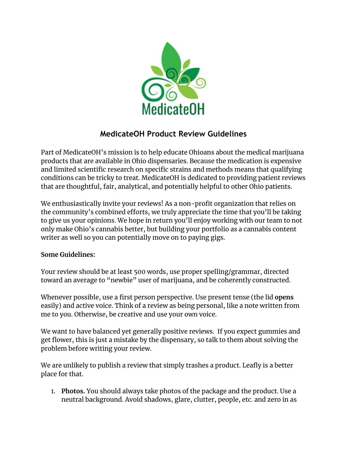

# **MedicateOH Product Review Guidelines**

Part of MedicateOH's mission is to help educate Ohioans about the medical marijuana products that are available in Ohio dispensaries. Because the medication is expensive and limited scientific research on specific strains and methods means that qualifying conditions can be tricky to treat. MedicateOH is dedicated to providing patient reviews that are thoughtful, fair, analytical, and potentially helpful to other Ohio patients.

We enthusiastically invite your reviews! As a non-profit organization that relies on the community's combined efforts, we truly appreciate the time that you'll be taking to give us your opinions. We hope in return you'll enjoy working with our team to not only make Ohio's cannabis better, but building your portfolio as a cannabis content writer as well so you can potentially move on to paying gigs.

# **Some Guidelines:**

Your review should be at least 500 words, use proper spelling/grammar, directed toward an average to "newbie" user of marijuana, and be coherently constructed.

Whenever possible, use a first person perspective. Use present tense (the lid **opens** easily) and active voice. Think of a review as being personal, like a note written from me to you. Otherwise, be creative and use your own voice.

We want to have balanced yet generally positive reviews. If you expect gummies and get flower, this is just a mistake by the dispensary, so talk to them about solving the problem before writing your review.

We are unlikely to publish a review that simply trashes a product. Leafly is a better place for that.

1. **Photos.** You should always take photos of the package and the product. Use a neutral background. Avoid shadows, glare, clutter, people, etc. and zero in as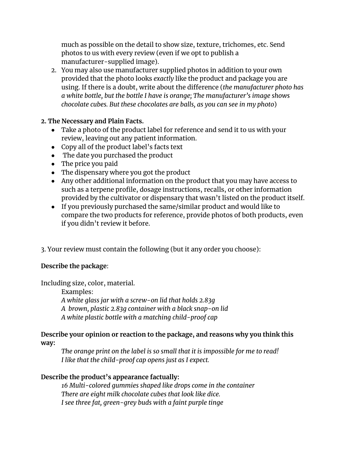much as possible on the detail to show size, texture, trichomes, etc. Send photos to us with every review (even if we opt to publish a manufacturer-supplied image).

2. You may also use manufacturer supplied photos in addition to your own provided that the photo looks *exactly* like the product and package you are using. If there is a doubt, write about the difference (*the manufacturer photo has a white bottle, but the bottle I have is orange; The manufacturer's image shows chocolate cubes. But these chocolates are balls, as you can see in my photo*)

## **2. The Necessary and Plain Facts.**

- Take a photo of the product label for reference and send it to us with your review, leaving out any patient information.
- Copy all of the product label's facts text
- The date you purchased the product
- The price you paid
- The dispensary where you got the product
- Any other additional information on the product that you may have access to such as a terpene profile, dosage instructions, recalls, or other information provided by the cultivator or dispensary that wasn't listed on the product itself.
- If you previously purchased the same/similar product and would like to compare the two products for reference, provide photos of both products, even if you didn't review it before.
- 3. Your review must contain the following (but it any order you choose):

# **Describe the package**:

Including size, color, material.

Examples:

*A white glass jar with a screw-on lid that holds 2.83g*

- *A brown, plastic 2.83g container with a black snap-on lid*
- *A white plastic bottle with a matching child-proof cap*

## **Describe your opinion or reaction to the package, and reasons why you think this way:**

*The orange print on the label is so small that it is impossible for me to read! I like that the child-proof cap opens just as I expect.*

# **Describe the product's appearance factually:**

*16 Multi-colored gummies shaped like drops come in the container There are eight milk chocolate cubes that look like dice. I see three fat, green-grey buds with a faint purple tinge*